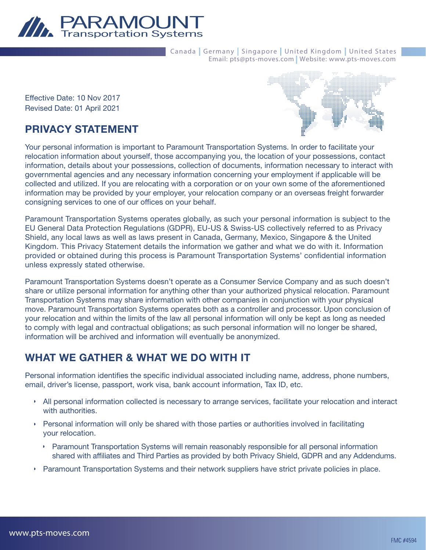

Canada | Germany | Singapore | United Kingdom | United States Email: pts@pts-moves.com | Website: www.pts-moves.com

Effective Date: 10 Nov 2017 Revised Date: 01 April 2021

# PRIVACY STATEMENT

Your personal information is important to Paramount Transportation Systems. In order to facilitate your relocation information about yourself, those accompanying you, the location of your possessions, contact information, details about your possessions, collection of documents, information necessary to interact with governmental agencies and any necessary information concerning your employment if applicable will be collected and utilized. If you are relocating with a corporation or on your own some of the aforementioned information may be provided by your employer, your relocation company or an overseas freight forwarder consigning services to one of our offices on your behalf.

Paramount Transportation Systems operates globally, as such your personal information is subject to the EU General Data Protection Regulations (GDPR), EU-US & Swiss-US collectively referred to as Privacy Shield, any local laws as well as laws present in Canada, Germany, Mexico, Singapore & the United Kingdom. This Privacy Statement details the information we gather and what we do with it. Information provided or obtained during this process is Paramount Transportation Systems' confidential information unless expressly stated otherwise.

Paramount Transportation Systems doesn't operate as a Consumer Service Company and as such doesn't share or utilize personal information for anything other than your authorized physical relocation. Paramount Transportation Systems may share information with other companies in conjunction with your physical move. Paramount Transportation Systems operates both as a controller and processor. Upon conclusion of your relocation and within the limits of the law all personal information will only be kept as long as needed to comply with legal and contractual obligations; as such personal information will no longer be shared, information will be archived and information will eventually be anonymized.

# WHAT WE GATHER & WHAT WE DO WITH IT

Personal information identifies the specific individual associated including name, address, phone numbers, email, driver's license, passport, work visa, bank account information, Tax ID, etc.

- ◗ All personal information collected is necessary to arrange services, facilitate your relocation and interact with authorities.
- ◗ Personal information will only be shared with those parties or authorities involved in facilitating your relocation.
	- ◗ Paramount Transportation Systems will remain reasonably responsible for all personal information shared with affiliates and Third Parties as provided by both Privacy Shield, GDPR and any Addendums.
- ◗ Paramount Transportation Systems and their network suppliers have strict private policies in place.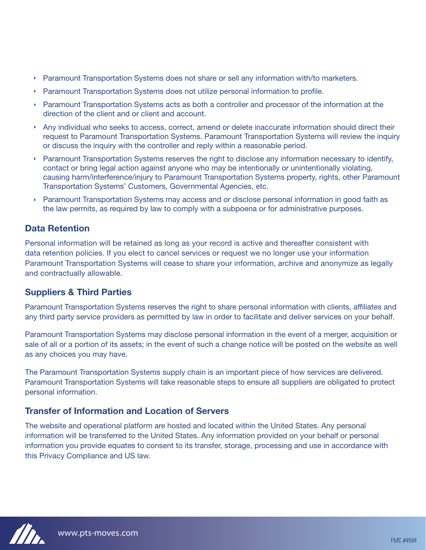- ◗ Paramount Transportation Systems does not share or sell any information with/to marketers.
- ◗ Paramount Transportation Systems does not utilize personal information to profile.
- ◗ Paramount Transportation Systems acts as both a controller and processor of the information at the direction of the client and or client and account.
- ◗ Any individual who seeks to access, correct, amend or delete inaccurate information should direct their request to Paramount Transportation Systems. Paramount Transportation Systems will review the inquiry or discuss the inquiry with the controller and reply within a reasonable period.
- ◗ Paramount Transportation Systems reserves the right to disclose any information necessary to identify, contact or bring legal action against anyone who may be intentionally or unintentionally violating, causing harm/interference/injury to Paramount Transportation Systems property, rights, other Paramount Transportation Systems' Customers, Governmental Agencies, etc.
- ◗ Paramount Transportation Systems may access and or disclose personal information in good faith as the law permits, as required by law to comply with a subpoena or for administrative purposes.

#### Data Retention

Personal information will be retained as long as your record is active and thereafter consistent with data retention policies. If you elect to cancel services or request we no longer use your information Paramount Transportation Systems will cease to share your information, archive and anonymize as legally and contractually allowable.

#### Suppliers & Third Parties

Paramount Transportation Systems reserves the right to share personal information with clients, affiliates and any third party service providers as permitted by law in order to facilitate and deliver services on your behalf.

Paramount Transportation Systems may disclose personal information in the event of a merger, acquisition or sale of all or a portion of its assets; in the event of such a change notice will be posted on the website as well as any choices you may have.

The Paramount Transportation Systems supply chain is an important piece of how services are delivered. Paramount Transportation Systems will take reasonable steps to ensure all suppliers are obligated to protect personal information.

#### Transfer of Information and Location of Servers

The website and operational platform are hosted and located within the United States. Any personal information will be transferred to the United States. Any information provided on your behalf or personal information you provide equates to consent to its transfer, storage, processing and use in accordance with this Privacy Compliance and US law.

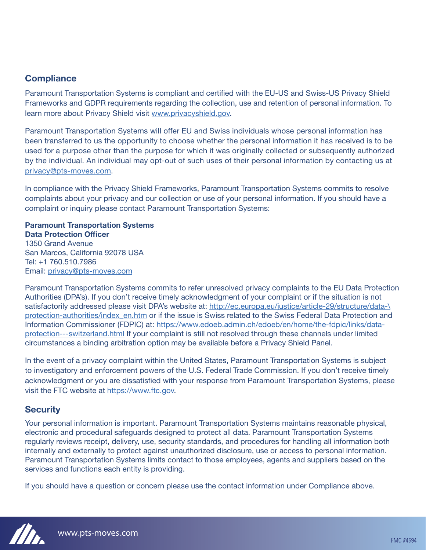#### **Compliance**

Paramount Transportation Systems is compliant and certified with the EU-US and Swiss-US Privacy Shield Frameworks and GDPR requirements regarding the collection, use and retention of personal information. To learn more about Privacy Shield visit www.privacyshield.gov.

Paramount Transportation Systems will offer EU and Swiss individuals whose personal information has been transferred to us the opportunity to choose whether the personal information it has received is to be used for a purpose other than the purpose for which it was originally collected or subsequently authorized by the individual. An individual may opt-out of such uses of their personal information by contacting us at privacy@pts-moves.com.

In compliance with the Privacy Shield Frameworks, Paramount Transportation Systems commits to resolve complaints about your privacy and our collection or use of your personal information. If you should have a complaint or inquiry please contact Paramount Transportation Systems:

#### Paramount Transportation Systems Data Protection Officer

1350 Grand Avenue San Marcos, California 92078 USA Tel: +1 760.510.7986 Email: privacy@pts-moves.com

Paramount Transportation Systems commits to refer unresolved privacy complaints to the EU Data Protection Authorities (DPA's). If you don't receive timely acknowledgment of your complaint or if the situation is not satisfactorily addressed please visit DPA's website at: http://ec.europa.eu/justice/article-29/structure/data-\ protection-authorities/index en.htm or if the issue is Swiss related to the Swiss Federal Data Protection and Information Commissioner (FDPIC) at: https://www.edoeb.admin.ch/edoeb/en/home/the-fdpic/links/dataprotection---switzerland.html If your complaint is still not resolved through these channels under limited circumstances a binding arbitration option may be available before a Privacy Shield Panel.

In the event of a privacy complaint within the United States, Paramount Transportation Systems is subject to investigatory and enforcement powers of the U.S. Federal Trade Commission. If you don't receive timely acknowledgment or you are dissatisfied with your response from Paramount Transportation Systems, please visit the FTC website at https://www.ftc.gov.

## **Security**

Your personal information is important. Paramount Transportation Systems maintains reasonable physical, electronic and procedural safeguards designed to protect all data. Paramount Transportation Systems regularly reviews receipt, delivery, use, security standards, and procedures for handling all information both internally and externally to protect against unauthorized disclosure, use or access to personal information. Paramount Transportation Systems limits contact to those employees, agents and suppliers based on the services and functions each entity is providing.

If you should have a question or concern please use the contact information under Compliance above.

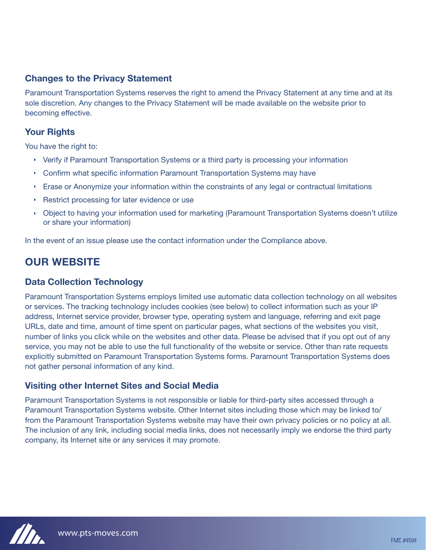#### Changes to the Privacy Statement

Paramount Transportation Systems reserves the right to amend the Privacy Statement at any time and at its sole discretion. Any changes to the Privacy Statement will be made available on the website prior to becoming effective.

#### Your Rights

You have the right to:

- ◗ Verify if Paramount Transportation Systems or a third party is processing your information
- ◗ Confirm what specific information Paramount Transportation Systems may have
- ◗ Erase or Anonymize your information within the constraints of any legal or contractual limitations
- ◗ Restrict processing for later evidence or use
- ◗ Object to having your information used for marketing (Paramount Transportation Systems doesn't utilize or share your information)

In the event of an issue please use the contact information under the Compliance above.

# OUR WEBSITE

#### Data Collection Technology

Paramount Transportation Systems employs limited use automatic data collection technology on all websites or services. The tracking technology includes cookies (see below) to collect information such as your IP address, Internet service provider, browser type, operating system and language, referring and exit page URLs, date and time, amount of time spent on particular pages, what sections of the websites you visit, number of links you click while on the websites and other data. Please be advised that if you opt out of any service, you may not be able to use the full functionality of the website or service. Other than rate requests explicitly submitted on Paramount Transportation Systems forms. Paramount Transportation Systems does not gather personal information of any kind.

#### Visiting other Internet Sites and Social Media

Paramount Transportation Systems is not responsible or liable for third-party sites accessed through a Paramount Transportation Systems website. Other Internet sites including those which may be linked to/ from the Paramount Transportation Systems website may have their own privacy policies or no policy at all. The inclusion of any link, including social media links, does not necessarily imply we endorse the third party company, its Internet site or any services it may promote.